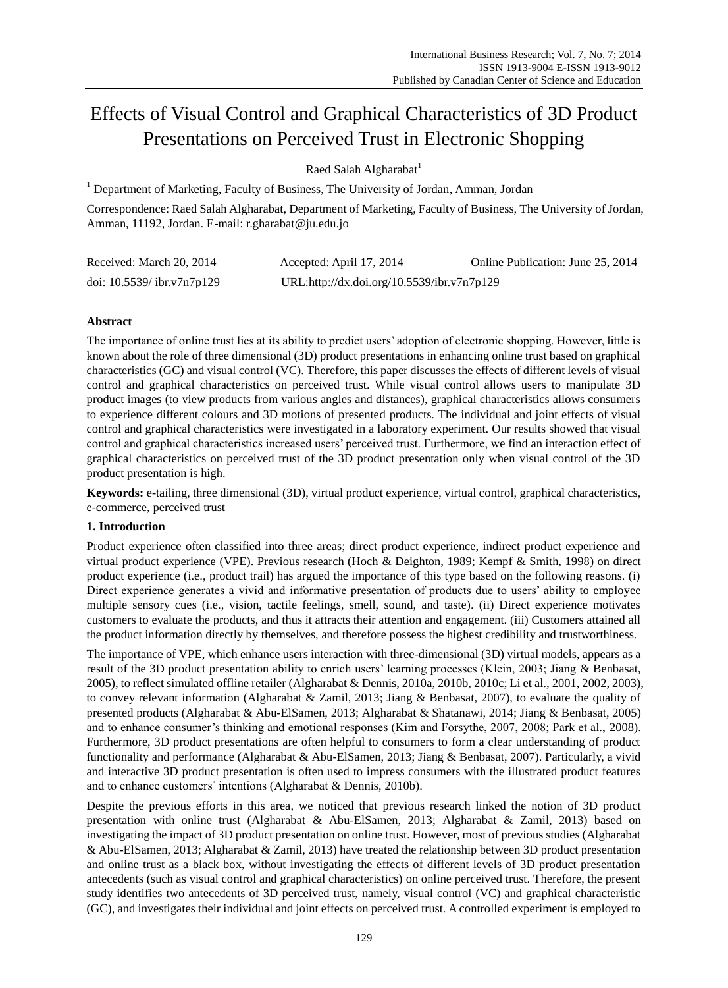# Effects of Visual Control and Graphical Characteristics of 3D Product Presentations on Perceived Trust in Electronic Shopping

Raed Salah Algharabat<sup>1</sup>

<sup>1</sup> Department of Marketing, Faculty of Business, The University of Jordan, Amman, Jordan

Correspondence: Raed Salah Algharabat, Department of Marketing, Faculty of Business, The University of Jordan, Amman, 11192, Jordan. E-mail: r.gharabat@ju.edu.jo

| Received: March 20, 2014      | Accepted: April 17, 2014                   | Online Publication: June 25, 2014 |
|-------------------------------|--------------------------------------------|-----------------------------------|
| doi: $10.5539$ / ibr.v7n7p129 | URL:http://dx.doi.org/10.5539/ibr.v7n7p129 |                                   |

## **Abstract**

The importance of online trust lies at its ability to predict users' adoption of electronic shopping. However, little is known about the role of three dimensional (3D) product presentations in enhancing online trust based on graphical characteristics (GC) and visual control (VC). Therefore, this paper discusses the effects of different levels of visual control and graphical characteristics on perceived trust. While visual control allows users to manipulate 3D product images (to view products from various angles and distances), graphical characteristics allows consumers to experience different colours and 3D motions of presented products. The individual and joint effects of visual control and graphical characteristics were investigated in a laboratory experiment. Our results showed that visual control and graphical characteristics increased users' perceived trust. Furthermore, we find an interaction effect of graphical characteristics on perceived trust of the 3D product presentation only when visual control of the 3D product presentation is high.

**Keywords:** e-tailing, three dimensional (3D), virtual product experience, virtual control, graphical characteristics, e-commerce, perceived trust

## **1. Introduction**

Product experience often classified into three areas; direct product experience, indirect product experience and virtual product experience (VPE). Previous research (Hoch & Deighton, 1989; Kempf & Smith, 1998) on direct product experience (i.e., product trail) has argued the importance of this type based on the following reasons. (i) Direct experience generates a vivid and informative presentation of products due to users' ability to employee multiple sensory cues (i.e., vision, tactile feelings, smell, sound, and taste). (ii) Direct experience motivates customers to evaluate the products, and thus it attracts their attention and engagement. (iii) Customers attained all the product information directly by themselves, and therefore possess the highest credibility and trustworthiness.

The importance of VPE, which enhance users interaction with three-dimensional (3D) virtual models, appears as a result of the 3D product presentation ability to enrich users' learning processes (Klein, 2003; Jiang & Benbasat, 2005), to reflect simulated offline retailer (Algharabat & Dennis, 2010a, 2010b, 2010c; Li et al., 2001, 2002, 2003), to convey relevant information (Algharabat & Zamil, 2013; Jiang & Benbasat, 2007), to evaluate the quality of presented products (Algharabat & Abu-ElSamen, 2013; Algharabat & Shatanawi, 2014; Jiang & Benbasat, 2005) and to enhance consumer's thinking and emotional responses (Kim and Forsythe, 2007, 2008; Park et al., 2008). Furthermore, 3D product presentations are often helpful to consumers to form a clear understanding of product functionality and performance (Algharabat & Abu-ElSamen, 2013; Jiang & Benbasat, 2007). Particularly, a vivid and interactive 3D product presentation is often used to impress consumers with the illustrated product features and to enhance customers' intentions (Algharabat & Dennis, 2010b).

Despite the previous efforts in this area, we noticed that previous research linked the notion of 3D product presentation with online trust (Algharabat & Abu-ElSamen, 2013; Algharabat & Zamil, 2013) based on investigating the impact of 3D product presentation on online trust. However, most of previous studies (Algharabat & Abu-ElSamen, 2013; Algharabat & Zamil, 2013) have treated the relationship between 3D product presentation and online trust as a black box, without investigating the effects of different levels of 3D product presentation antecedents (such as visual control and graphical characteristics) on online perceived trust. Therefore, the present study identifies two antecedents of 3D perceived trust, namely, visual control (VC) and graphical characteristic (GC), and investigates their individual and joint effects on perceived trust. A controlled experiment is employed to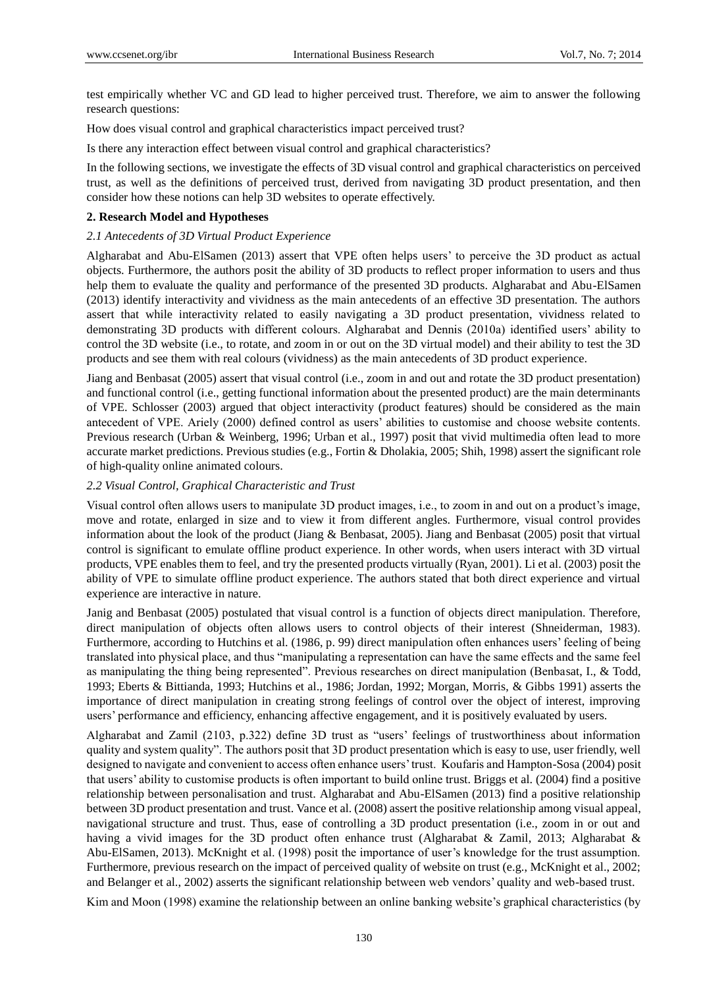test empirically whether VC and GD lead to higher perceived trust. Therefore, we aim to answer the following research questions:

How does visual control and graphical characteristics impact perceived trust?

Is there any interaction effect between visual control and graphical characteristics?

In the following sections, we investigate the effects of 3D visual control and graphical characteristics on perceived trust, as well as the definitions of perceived trust, derived from navigating 3D product presentation, and then consider how these notions can help 3D websites to operate effectively.

#### **2. Research Model and Hypotheses**

#### *2.1 Antecedents of 3D Virtual Product Experience*

Algharabat and Abu-ElSamen (2013) assert that VPE often helps users' to perceive the 3D product as actual objects. Furthermore, the authors posit the ability of 3D products to reflect proper information to users and thus help them to evaluate the quality and performance of the presented 3D products. Algharabat and Abu-ElSamen (2013) identify interactivity and vividness as the main antecedents of an effective 3D presentation. The authors assert that while interactivity related to easily navigating a 3D product presentation, vividness related to demonstrating 3D products with different colours. Algharabat and Dennis (2010a) identified users' ability to control the 3D website (i.e., to rotate, and zoom in or out on the 3D virtual model) and their ability to test the 3D products and see them with real colours (vividness) as the main antecedents of 3D product experience.

Jiang and Benbasat (2005) assert that visual control (i.e., zoom in and out and rotate the 3D product presentation) and functional control (i.e., getting functional information about the presented product) are the main determinants of VPE. Schlosser (2003) argued that object interactivity (product features) should be considered as the main antecedent of VPE. Ariely (2000) defined control as users' abilities to customise and choose website contents. Previous research (Urban & Weinberg, 1996; Urban et al., 1997) posit that vivid multimedia often lead to more accurate market predictions. Previous studies (e.g., Fortin & Dholakia, 2005; Shih, 1998) assert the significant role of high-quality online animated colours.

#### *2.2 Visual Control, Graphical Characteristic and Trust*

Visual control often allows users to manipulate 3D product images, i.e., to zoom in and out on a product's image, move and rotate, enlarged in size and to view it from different angles. Furthermore, visual control provides information about the look of the product (Jiang & Benbasat, 2005). Jiang and Benbasat (2005) posit that virtual control is significant to emulate offline product experience. In other words, when users interact with 3D virtual products, VPE enables them to feel, and try the presented products virtually (Ryan, 2001). Li et al. (2003) posit the ability of VPE to simulate offline product experience. The authors stated that both direct experience and virtual experience are interactive in nature.

Janig and Benbasat (2005) postulated that visual control is a function of objects direct manipulation. Therefore, direct manipulation of objects often allows users to control objects of their interest (Shneiderman, 1983). Furthermore, according to Hutchins et al. (1986, p. 99) direct manipulation often enhances users' feeling of being translated into physical place, and thus "manipulating a representation can have the same effects and the same feel as manipulating the thing being represented". Previous researches on direct manipulation (Benbasat, I., & Todd, 1993; Eberts & Bittianda, 1993; Hutchins et al., 1986; Jordan, 1992; Morgan, Morris, & Gibbs 1991) asserts the importance of direct manipulation in creating strong feelings of control over the object of interest, improving users' performance and efficiency, enhancing affective engagement, and it is positively evaluated by users.

Algharabat and Zamil (2103, p.322) define 3D trust as "users' feelings of trustworthiness about information quality and system quality". The authors posit that 3D product presentation which is easy to use, user friendly, well designed to navigate and convenient to access often enhance users' trust. Koufaris and Hampton-Sosa (2004) posit that users' ability to customise products is often important to build online trust. Briggs et al. (2004) find a positive relationship between personalisation and trust. Algharabat and Abu-ElSamen (2013) find a positive relationship between 3D product presentation and trust. Vance et al. (2008) assert the positive relationship among visual appeal, navigational structure and trust. Thus, ease of controlling a 3D product presentation (i.e., zoom in or out and having a vivid images for the 3D product often enhance trust (Algharabat & Zamil, 2013; Algharabat & Abu-ElSamen, 2013). McKnight et al. (1998) posit the importance of user's knowledge for the trust assumption. Furthermore, previous research on the impact of perceived quality of website on trust (e.g., McKnight et al., 2002; and Belanger et al., 2002) asserts the significant relationship between web vendors' quality and web-based trust.

Kim and Moon (1998) examine the relationship between an online banking website's graphical characteristics (by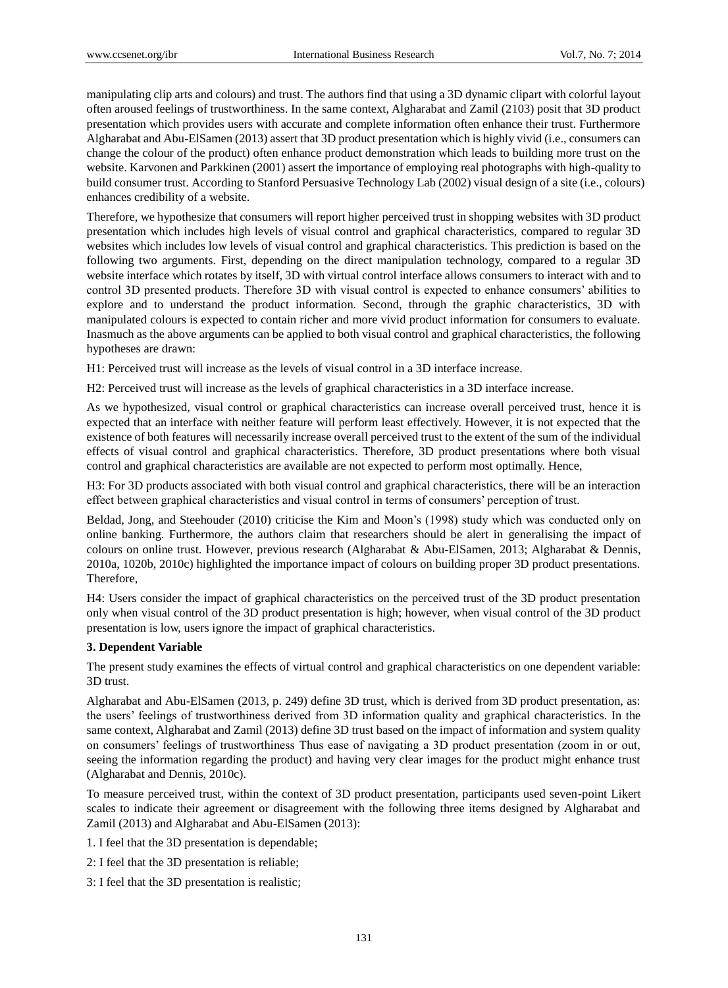manipulating clip arts and colours) and trust. The authors find that using a 3D dynamic clipart with colorful layout often aroused feelings of trustworthiness. In the same context, Algharabat and Zamil (2103) posit that 3D product presentation which provides users with accurate and complete information often enhance their trust. Furthermore Algharabat and Abu-ElSamen (2013) assert that 3D product presentation which is highly vivid (i.e., consumers can change the colour of the product) often enhance product demonstration which leads to building more trust on the website. Karvonen and Parkkinen (2001) assert the importance of employing real photographs with high-quality to build consumer trust. According to Stanford Persuasive Technology Lab (2002) visual design of a site (i.e., colours) enhances credibility of a website.

Therefore, we hypothesize that consumers will report higher perceived trust in shopping websites with 3D product presentation which includes high levels of visual control and graphical characteristics, compared to regular 3D websites which includes low levels of visual control and graphical characteristics. This prediction is based on the following two arguments. First, depending on the direct manipulation technology, compared to a regular 3D website interface which rotates by itself, 3D with virtual control interface allows consumers to interact with and to control 3D presented products. Therefore 3D with visual control is expected to enhance consumers' abilities to explore and to understand the product information. Second, through the graphic characteristics, 3D with manipulated colours is expected to contain richer and more vivid product information for consumers to evaluate. Inasmuch as the above arguments can be applied to both visual control and graphical characteristics, the following hypotheses are drawn:

H1: Perceived trust will increase as the levels of visual control in a 3D interface increase.

H2: Perceived trust will increase as the levels of graphical characteristics in a 3D interface increase.

As we hypothesized, visual control or graphical characteristics can increase overall perceived trust, hence it is expected that an interface with neither feature will perform least effectively. However, it is not expected that the existence of both features will necessarily increase overall perceived trust to the extent of the sum of the individual effects of visual control and graphical characteristics. Therefore, 3D product presentations where both visual control and graphical characteristics are available are not expected to perform most optimally. Hence,

H3: For 3D products associated with both visual control and graphical characteristics, there will be an interaction effect between graphical characteristics and visual control in terms of consumers' perception of trust.

Beldad, Jong, and Steehouder (2010) criticise the Kim and Moon's (1998) study which was conducted only on online banking. Furthermore, the authors claim that researchers should be alert in generalising the impact of colours on online trust. However, previous research (Algharabat & Abu-ElSamen, 2013; Algharabat & Dennis, 2010a, 1020b, 2010c) highlighted the importance impact of colours on building proper 3D product presentations. Therefore,

H4: Users consider the impact of graphical characteristics on the perceived trust of the 3D product presentation only when visual control of the 3D product presentation is high; however, when visual control of the 3D product presentation is low, users ignore the impact of graphical characteristics.

## **3. Dependent Variable**

The present study examines the effects of virtual control and graphical characteristics on one dependent variable: 3D trust.

Algharabat and Abu-ElSamen (2013, p. 249) define 3D trust, which is derived from 3D product presentation, as: the users' feelings of trustworthiness derived from 3D information quality and graphical characteristics. In the same context, Algharabat and Zamil (2013) define 3D trust based on the impact of information and system quality on consumers' feelings of trustworthiness Thus ease of navigating a 3D product presentation (zoom in or out, seeing the information regarding the product) and having very clear images for the product might enhance trust (Algharabat and Dennis, 2010c).

To measure perceived trust, within the context of 3D product presentation, participants used seven-point Likert scales to indicate their agreement or disagreement with the following three items designed by Algharabat and Zamil (2013) and Algharabat and Abu-ElSamen (2013):

- 1. I feel that the 3D presentation is dependable;
- 2: I feel that the 3D presentation is reliable;
- 3: I feel that the 3D presentation is realistic;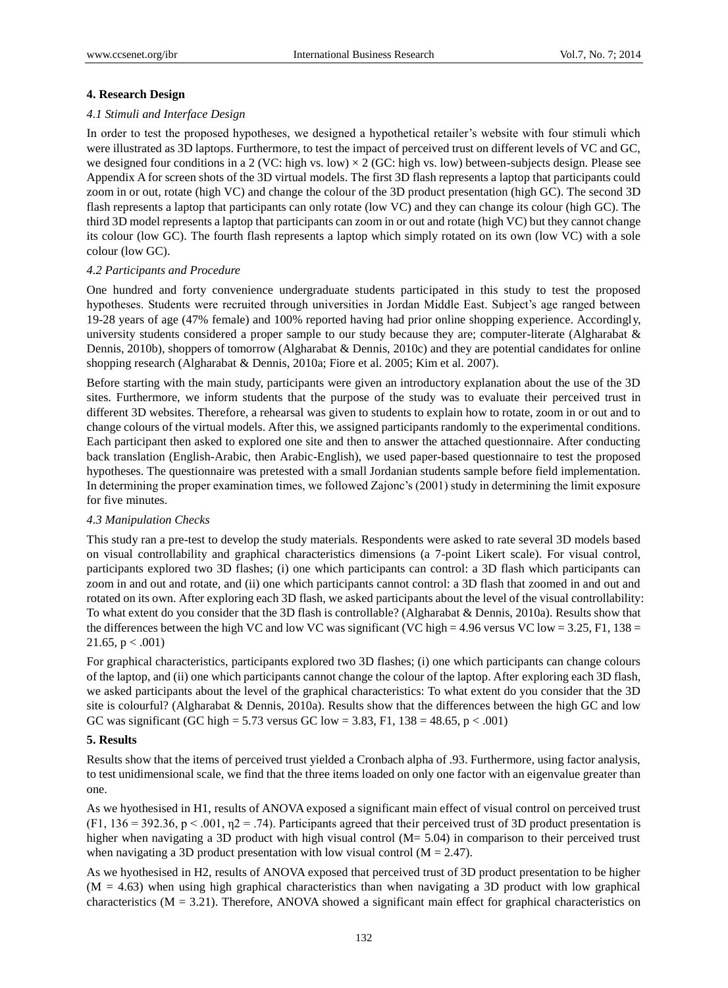## **4. Research Design**

## *4.1 Stimuli and Interface Design*

In order to test the proposed hypotheses, we designed a hypothetical retailer's website with four stimuli which were illustrated as 3D laptops. Furthermore, to test the impact of perceived trust on different levels of VC and GC, we designed four conditions in a 2 (VC: high vs. low)  $\times$  2 (GC: high vs. low) between-subjects design. Please see Appendix A for screen shots of the 3D virtual models. The first 3D flash represents a laptop that participants could zoom in or out, rotate (high VC) and change the colour of the 3D product presentation (high GC). The second 3D flash represents a laptop that participants can only rotate (low VC) and they can change its colour (high GC). The third 3D model represents a laptop that participants can zoom in or out and rotate (high VC) but they cannot change its colour (low GC). The fourth flash represents a laptop which simply rotated on its own (low VC) with a sole colour (low GC).

## *4.2 Participants and Procedure*

One hundred and forty convenience undergraduate students participated in this study to test the proposed hypotheses. Students were recruited through universities in Jordan Middle East. Subject's age ranged between 19-28 years of age (47% female) and 100% reported having had prior online shopping experience. Accordingly, university students considered a proper sample to our study because they are; computer-literate (Algharabat & Dennis, 2010b), shoppers of tomorrow (Algharabat & Dennis, 2010c) and they are potential candidates for online shopping research (Algharabat & Dennis, 2010a; Fiore et al. 2005; Kim et al. 2007).

Before starting with the main study, participants were given an introductory explanation about the use of the 3D sites. Furthermore, we inform students that the purpose of the study was to evaluate their perceived trust in different 3D websites. Therefore, a rehearsal was given to students to explain how to rotate, zoom in or out and to change colours of the virtual models. After this, we assigned participants randomly to the experimental conditions. Each participant then asked to explored one site and then to answer the attached questionnaire. After conducting back translation (English-Arabic, then Arabic-English), we used paper-based questionnaire to test the proposed hypotheses. The questionnaire was pretested with a small Jordanian students sample before field implementation. In determining the proper examination times, we followed Zajonc's (2001) study in determining the limit exposure for five minutes.

## *4.3 Manipulation Checks*

This study ran a pre-test to develop the study materials. Respondents were asked to rate several 3D models based on visual controllability and graphical characteristics dimensions (a 7-point Likert scale). For visual control, participants explored two 3D flashes; (i) one which participants can control: a 3D flash which participants can zoom in and out and rotate, and (ii) one which participants cannot control: a 3D flash that zoomed in and out and rotated on its own. After exploring each 3D flash, we asked participants about the level of the visual controllability: To what extent do you consider that the 3D flash is controllable? (Algharabat & Dennis, 2010a). Results show that the differences between the high VC and low VC was significant (VC high = 4.96 versus VC low = 3.25, F1, 138 = 21.65,  $p < .001$ )

For graphical characteristics, participants explored two 3D flashes; (i) one which participants can change colours of the laptop, and (ii) one which participants cannot change the colour of the laptop. After exploring each 3D flash, we asked participants about the level of the graphical characteristics: To what extent do you consider that the 3D site is colourful? (Algharabat & Dennis, 2010a). Results show that the differences between the high GC and low GC was significant (GC high = 5.73 versus GC low = 3.83, F1,  $138 = 48.65$ , p < .001)

## **5. Results**

Results show that the items of perceived trust yielded a Cronbach alpha of .93. Furthermore, using factor analysis, to test unidimensional scale, we find that the three items loaded on only one factor with an eigenvalue greater than one.

As we hyothesised in H1, results of ANOVA exposed a significant main effect of visual control on perceived trust (F1, 136 = 392.36, p < .001,  $\eta$ 2 = .74). Participants agreed that their perceived trust of 3D product presentation is higher when navigating a 3D product with high visual control (M= 5.04) in comparison to their perceived trust when navigating a 3D product presentation with low visual control  $(M = 2.47)$ .

As we hyothesised in H2, results of ANOVA exposed that perceived trust of 3D product presentation to be higher  $(M = 4.63)$  when using high graphical characteristics than when navigating a 3D product with low graphical characteristics ( $M = 3.21$ ). Therefore, ANOVA showed a significant main effect for graphical characteristics on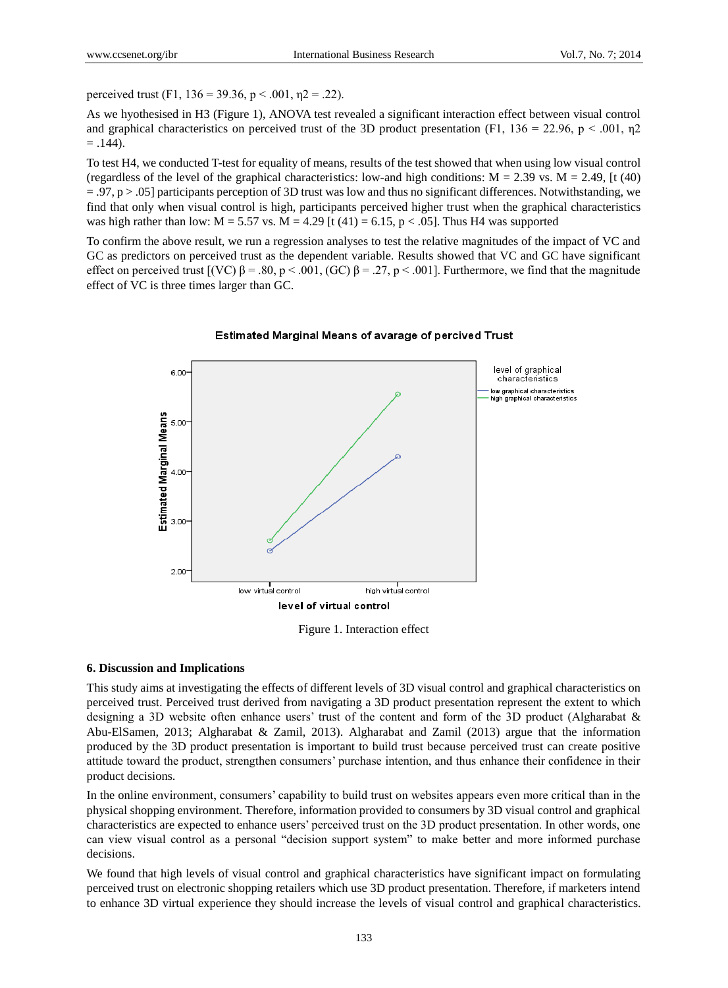perceived trust (F1,  $136 = 39.36$ ,  $p < .001$ ,  $p = .22$ ).

As we hyothesised in H3 (Figure 1), ANOVA test revealed a significant interaction effect between visual control and graphical characteristics on perceived trust of the 3D product presentation (F1, 136 = 22.96, p < .001,  $\eta$ 2  $= .144$ ).

To test H4, we conducted T-test for equality of means, results of the test showed that when using low visual control (regardless of the level of the graphical characteristics: low-and high conditions:  $M = 2.39$  vs.  $M = 2.49$ , [t (40)  $= 0.97$ , p  $> 0.05$  participants perception of 3D trust was low and thus no significant differences. Notwithstanding, we find that only when visual control is high, participants perceived higher trust when the graphical characteristics was high rather than low:  $M = 5.57$  vs.  $M = 4.29$  [t (41) = 6.15, p < .05]. Thus H4 was supported

To confirm the above result, we run a regression analyses to test the relative magnitudes of the impact of VC and GC as predictors on perceived trust as the dependent variable. Results showed that VC and GC have significant effect on perceived trust  $[(VC) β = .80, p < .001, (GC) β = .27, p < .001]$ . Furthermore, we find that the magnitude effect of VC is three times larger than GC.



#### Estimated Marginal Means of avarage of percived Trust

Figure 1. Interaction effect

#### **6. Discussion and Implications**

This study aims at investigating the effects of different levels of 3D visual control and graphical characteristics on perceived trust. Perceived trust derived from navigating a 3D product presentation represent the extent to which designing a 3D website often enhance users' trust of the content and form of the 3D product (Algharabat & Abu-ElSamen, 2013; Algharabat & Zamil, 2013). Algharabat and Zamil (2013) argue that the information produced by the 3D product presentation is important to build trust because perceived trust can create positive attitude toward the product, strengthen consumers' purchase intention, and thus enhance their confidence in their product decisions.

In the online environment, consumers' capability to build trust on websites appears even more critical than in the physical shopping environment. Therefore, information provided to consumers by 3D visual control and graphical characteristics are expected to enhance users' perceived trust on the 3D product presentation. In other words, one can view visual control as a personal "decision support system" to make better and more informed purchase decisions.

We found that high levels of visual control and graphical characteristics have significant impact on formulating perceived trust on electronic shopping retailers which use 3D product presentation. Therefore, if marketers intend to enhance 3D virtual experience they should increase the levels of visual control and graphical characteristics.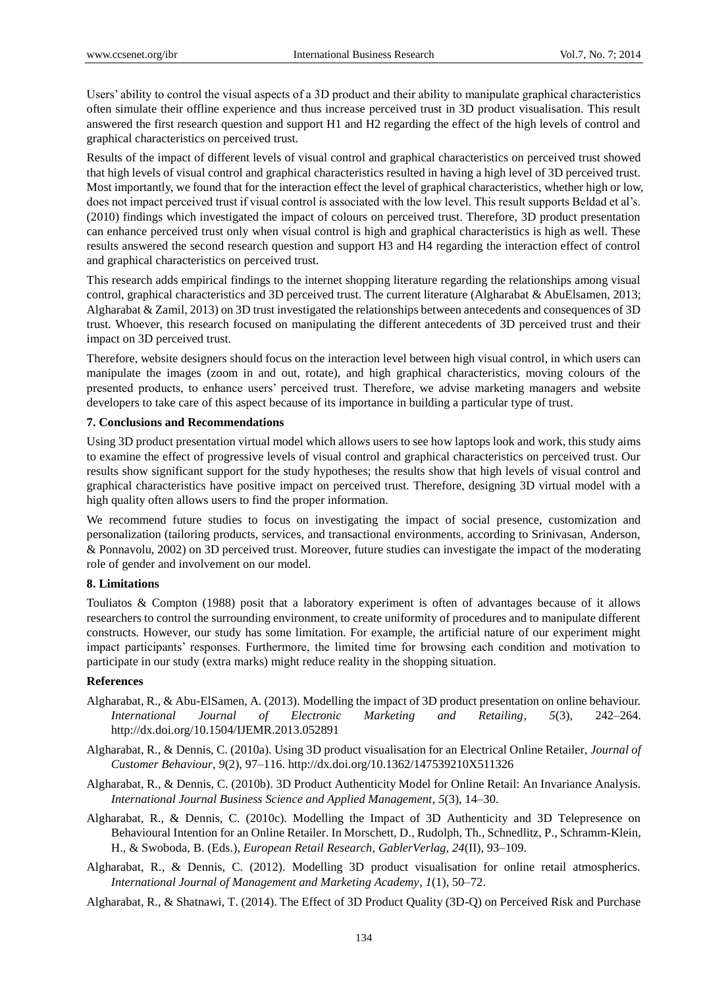Users' ability to control the visual aspects of a 3D product and their ability to manipulate graphical characteristics often simulate their offline experience and thus increase perceived trust in 3D product visualisation. This result answered the first research question and support H1 and H2 regarding the effect of the high levels of control and graphical characteristics on perceived trust.

Results of the impact of different levels of visual control and graphical characteristics on perceived trust showed that high levels of visual control and graphical characteristics resulted in having a high level of 3D perceived trust. Most importantly, we found that for the interaction effect the level of graphical characteristics, whether high or low, does not impact perceived trust if visual control is associated with the low level. This result supports Beldad et al's. (2010) findings which investigated the impact of colours on perceived trust. Therefore, 3D product presentation can enhance perceived trust only when visual control is high and graphical characteristics is high as well. These results answered the second research question and support H3 and H4 regarding the interaction effect of control and graphical characteristics on perceived trust.

This research adds empirical findings to the internet shopping literature regarding the relationships among visual control, graphical characteristics and 3D perceived trust. The current literature (Algharabat & AbuElsamen, 2013; Algharabat & Zamil, 2013) on 3D trust investigated the relationships between antecedents and consequences of 3D trust. Whoever, this research focused on manipulating the different antecedents of 3D perceived trust and their impact on 3D perceived trust.

Therefore, website designers should focus on the interaction level between high visual control, in which users can manipulate the images (zoom in and out, rotate), and high graphical characteristics, moving colours of the presented products, to enhance users' perceived trust. Therefore, we advise marketing managers and website developers to take care of this aspect because of its importance in building a particular type of trust.

#### **7. Conclusions and Recommendations**

Using 3D product presentation virtual model which allows users to see how laptops look and work, this study aims to examine the effect of progressive levels of visual control and graphical characteristics on perceived trust. Our results show significant support for the study hypotheses; the results show that high levels of visual control and graphical characteristics have positive impact on perceived trust. Therefore, designing 3D virtual model with a high quality often allows users to find the proper information.

We recommend future studies to focus on investigating the impact of social presence, customization and personalization (tailoring products, services, and transactional environments, according to Srinivasan, Anderson, & Ponnavolu, 2002) on 3D perceived trust. Moreover, future studies can investigate the impact of the moderating role of gender and involvement on our model.

### **8. Limitations**

Touliatos & Compton (1988) posit that a laboratory experiment is often of advantages because of it allows researchers to control the surrounding environment, to create uniformity of procedures and to manipulate different constructs. However, our study has some limitation. For example, the artificial nature of our experiment might impact participants' responses. Furthermore, the limited time for browsing each condition and motivation to participate in our study (extra marks) might reduce reality in the shopping situation.

#### **References**

- Algharabat, R., & Abu-ElSamen, A. (2013). Modelling the impact of 3D product presentation on online behaviour. *International Journal of Electronic Marketing and Retailing, 5*(3), 242–264. http://dx.doi.org/10.1504/IJEMR.2013.052891
- Algharabat, R., & Dennis, C. (2010a). Using 3D product visualisation for an Electrical Online Retailer, *Journal of Customer Behaviour, 9*(2), 97–116. http://dx.doi.org/10.1362/147539210X511326
- Algharabat, R., & Dennis, C. (2010b). 3D Product Authenticity Model for Online Retail: An Invariance Analysis. *International Journal Business Science and Applied Management, 5*(3), 14–30.
- Algharabat, R., & Dennis, C. (2010c). Modelling the Impact of 3D Authenticity and 3D Telepresence on Behavioural Intention for an Online Retailer. In Morschett, D., Rudolph, Th., Schnedlitz, P., Schramm-Klein, H., & Swoboda, B. (Eds.), *European Retail Research, GablerVerlag, 24*(II), 93–109.
- Algharabat, R., & Dennis, C. (2012). Modelling 3D product visualisation for online retail atmospherics. *International Journal of Management and Marketing Academy, 1*(1), 50–72.
- Algharabat, R., & Shatnawi, T. (2014). The Effect of 3D Product Quality (3D-Q) on Perceived Risk and Purchase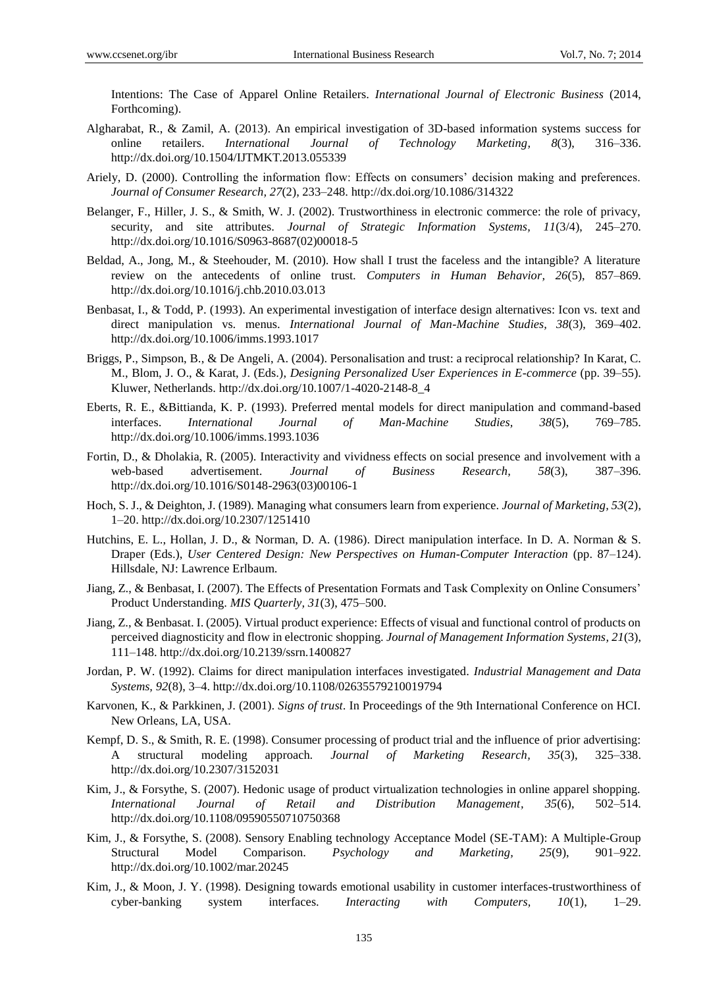Intentions: The Case of Apparel Online Retailers. *International Journal of Electronic Business* (2014, Forthcoming).

- Algharabat, R., & Zamil, A. (2013). An empirical investigation of 3D-based information systems success for online retailers. *International Journal of Technology Marketing, 8*(3), 316–336. http://dx.doi.org/10.1504/IJTMKT.2013.055339
- Ariely, D. (2000). Controlling the information flow: Effects on consumers' decision making and preferences. *Journal of Consumer Research, 27*(2), 233–248. http://dx.doi.org/10.1086/314322
- Belanger, F., Hiller, J. S., & Smith, W. J. (2002). Trustworthiness in electronic commerce: the role of privacy, security, and site attributes. *Journal of Strategic Information Systems, 11*(3/4), 245–270. http://dx.doi.org/10.1016/S0963-8687(02)00018-5
- Beldad, A., Jong, M., & Steehouder, M. (2010). How shall I trust the faceless and the intangible? A literature review on the antecedents of online trust. *Computers in Human Behavior, 26*(5), 857–869. http://dx.doi.org/10.1016/j.chb.2010.03.013
- Benbasat, I., & Todd, P. (1993). An experimental investigation of interface design alternatives: Icon vs. text and direct manipulation vs. menus. *International Journal of Man-Machine Studies, 38*(3), 369–402. http://dx.doi.org/10.1006/imms.1993.1017
- Briggs, P., Simpson, B., & De Angeli, A. (2004). Personalisation and trust: a reciprocal relationship? In Karat, C. M., Blom, J. O., & Karat, J. (Eds.), *Designing Personalized User Experiences in E-commerce* (pp. 39–55). Kluwer, Netherlands. http://dx.doi.org/10.1007/1-4020-2148-8\_4
- Eberts, R. E., &Bittianda, K. P. (1993). Preferred mental models for direct manipulation and command-based interfaces. *International Journal of Man-Machine Studies, 38*(5), 769–785. http://dx.doi.org/10.1006/imms.1993.1036
- Fortin, D., & Dholakia, R. (2005). Interactivity and vividness effects on social presence and involvement with a web-based advertisement. *Journal of Business Research, 58*(3), 387–396. http://dx.doi.org/10.1016/S0148-2963(03)00106-1
- Hoch, S. J., & Deighton, J. (1989). Managing what consumers learn from experience. *Journal of Marketing, 53*(2), 1–20. http://dx.doi.org/10.2307/1251410
- Hutchins, E. L., Hollan, J. D., & Norman, D. A. (1986). Direct manipulation interface. In D. A. Norman & S. Draper (Eds.), *User Centered Design: New Perspectives on Human-Computer Interaction* (pp. 87–124). Hillsdale, NJ: Lawrence Erlbaum.
- Jiang, Z., & Benbasat, I. (2007). The Effects of Presentation Formats and Task Complexity on Online Consumers' Product Understanding. *MIS Quarterly, 31*(3), 475–500.
- Jiang, Z., & Benbasat. I. (2005). Virtual product experience: Effects of visual and functional control of products on perceived diagnosticity and flow in electronic shopping. *Journal of Management Information Systems, 21*(3), 111–148. http://dx.doi.org/10.2139/ssrn.1400827
- Jordan, P. W. (1992). Claims for direct manipulation interfaces investigated. *Industrial Management and Data Systems, 92*(8), 3–4. http://dx.doi.org/10.1108/02635579210019794
- Karvonen, K., & Parkkinen, J. (2001). *Signs of trust*. In Proceedings of the 9th International Conference on HCI. New Orleans, LA, USA.
- Kempf, D. S., & Smith, R. E. (1998). Consumer processing of product trial and the influence of prior advertising: A structural modeling approach. *Journal of Marketing Research, 35*(3), 325–338. http://dx.doi.org/10.2307/3152031
- Kim, J., & Forsythe, S. (2007). Hedonic usage of product virtualization technologies in online apparel shopping. *International Journal of Retail and Distribution Management, 35*(6), 502–514. http://dx.doi.org/10.1108/09590550710750368
- Kim, J., & Forsythe, S. (2008). Sensory Enabling technology Acceptance Model (SE-TAM): A Multiple-Group Structural Model Comparison. *Psychology and Marketing, 25*(9), 901–922. http://dx.doi.org/10.1002/mar.20245
- Kim, J., & Moon, J. Y. (1998). Designing towards emotional usability in customer interfaces-trustworthiness of cyber-banking system interfaces. *Interacting with Computers, 10*(1), 1–29.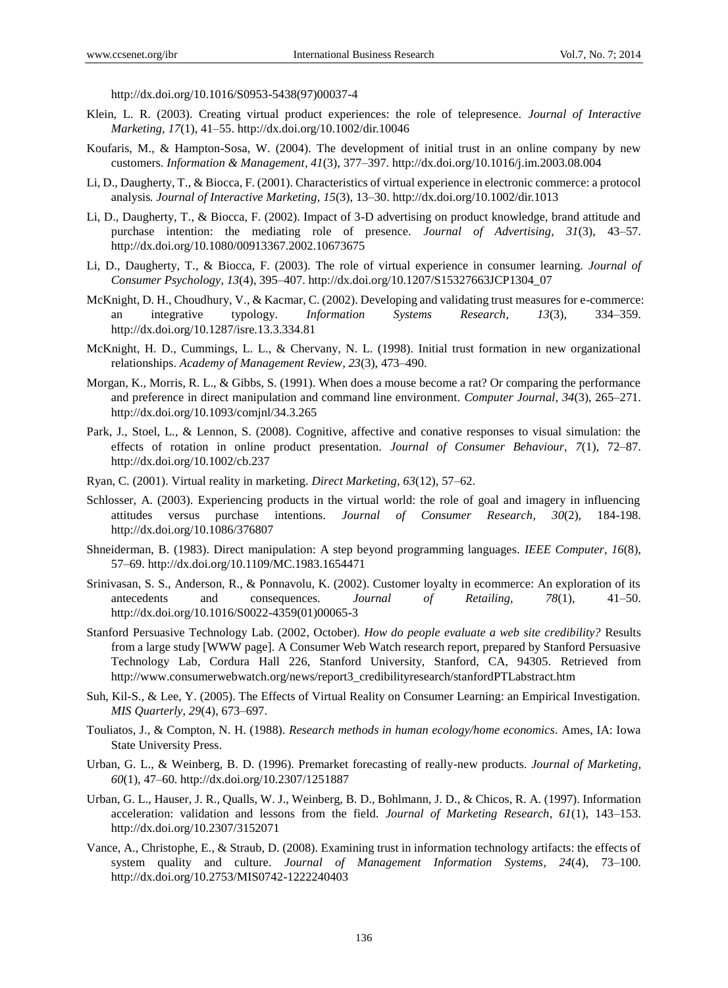http://dx.doi.org/10.1016/S0953-5438(97)00037-4

- Klein, L. R. (2003). Creating virtual product experiences: the role of telepresence. *Journal of Interactive Marketing, 17*(1), 41–55. http://dx.doi.org/10.1002/dir.10046
- Koufaris, M., & Hampton-Sosa, W. (2004). The development of initial trust in an online company by new customers. *Information & Management, 41*(3), 377–397. http://dx.doi.org/10.1016/j.im.2003.08.004
- Li, D., Daugherty, T., & Biocca, F. (2001). Characteristics of virtual experience in electronic commerce: a protocol analysis*. Journal of Interactive Marketing, 15*(3), 13–30. http://dx.doi.org/10.1002/dir.1013
- Li, D., Daugherty, T., & Biocca, F. (2002). Impact of 3-D advertising on product knowledge, brand attitude and purchase intention: the mediating role of presence. *Journal of Advertising, 31*(3), 43–57. http://dx.doi.org/10.1080/00913367.2002.10673675
- Li, D., Daugherty, T., & Biocca, F. (2003). The role of virtual experience in consumer learning. *Journal of Consumer Psychology, 13*(4), 395–407. http://dx.doi.org/10.1207/S15327663JCP1304\_07
- McKnight, D. H., Choudhury, V., & Kacmar, C. (2002). Developing and validating trust measures for e-commerce: an integrative typology. *Information Systems Research, 13*(3), 334–359. http://dx.doi.org/10.1287/isre.13.3.334.81
- McKnight, H. D., Cummings, L. L., & Chervany, N. L. (1998). Initial trust formation in new organizational relationships. *Academy of Management Review, 23*(3), 473–490.
- Morgan, K., Morris, R. L., & Gibbs, S. (1991). When does a mouse become a rat? Or comparing the performance and preference in direct manipulation and command line environment. *Computer Journal, 34*(3), 265–271. http://dx.doi.org/10.1093/comjnl/34.3.265
- Park, J., Stoel, L., & Lennon, S. (2008). Cognitive, affective and conative responses to visual simulation: the effects of rotation in online product presentation. *Journal of Consumer Behaviour, 7*(1), 72–87. http://dx.doi.org/10.1002/cb.237
- Ryan, C. (2001). Virtual reality in marketing. *Direct Marketing, 63*(12), 57–62.
- Schlosser, A. (2003). Experiencing products in the virtual world: the role of goal and imagery in influencing attitudes versus purchase intentions. *Journal of Consumer Research, 30*(2), 184-198. http://dx.doi.org/10.1086/376807
- Shneiderman, B. (1983). Direct manipulation: A step beyond programming languages. *IEEE Computer, 16*(8), 57–69. http://dx.doi.org/10.1109/MC.1983.1654471
- Srinivasan, S. S., Anderson, R., & Ponnavolu, K. (2002). Customer loyalty in ecommerce: An exploration of its antecedents and consequences. *Journal of Retailing, 78*(1), 41–50. http://dx.doi.org/10.1016/S0022-4359(01)00065-3
- Stanford Persuasive Technology Lab. (2002, October). *How do people evaluate a web site credibility?* Results from a large study [WWW page]. A Consumer Web Watch research report, prepared by Stanford Persuasive Technology Lab, Cordura Hall 226, Stanford University, Stanford, CA, 94305. Retrieved from http://www.consumerwebwatch.org/news/report3\_credibilityresearch/stanfordPTLabstract.htm
- Suh, Kil-S., & Lee, Y. (2005). The Effects of Virtual Reality on Consumer Learning: an Empirical Investigation. *MIS Quarterly, 29*(4), 673–697.
- Touliatos, J., & Compton, N. H. (1988). *Research methods in human ecology/home economics*. Ames, IA: Iowa State University Press.
- Urban, G. L., & Weinberg, B. D. (1996). Premarket forecasting of really-new products. *Journal of Marketing, 60*(1), 47–60. http://dx.doi.org/10.2307/1251887
- Urban, G. L., Hauser, J. R., Qualls, W. J., Weinberg, B. D., Bohlmann, J. D., & Chicos, R. A. (1997). Information acceleration: validation and lessons from the field. *Journal of Marketing Research, 61*(1), 143–153. http://dx.doi.org/10.2307/3152071
- Vance, A., Christophe, E., & Straub, D. (2008). Examining trust in information technology artifacts: the effects of system quality and culture. *Journal of Management Information Systems, 24*(4), 73–100. http://dx.doi.org/10.2753/MIS0742-1222240403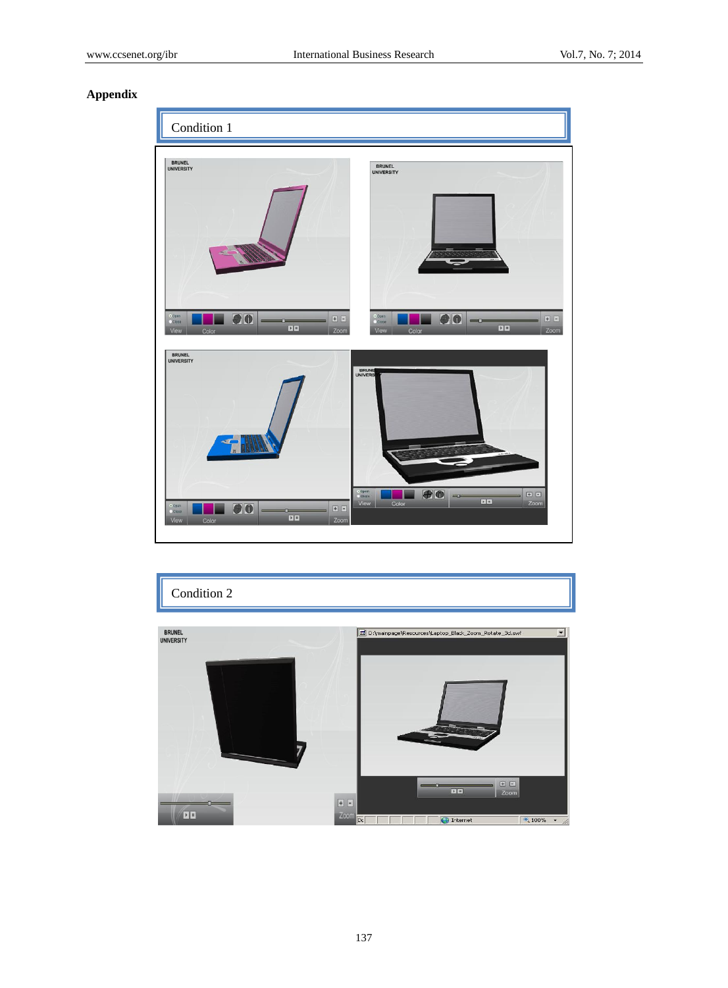# **Appendix**